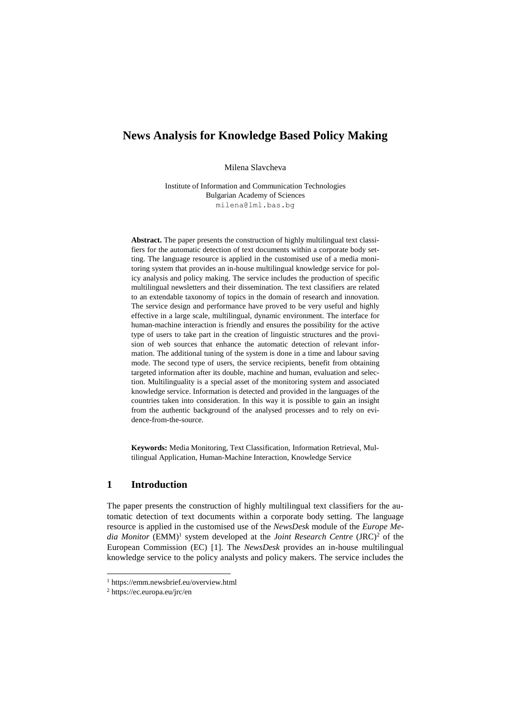# **News Analysis for Knowledge Based Policy Making**

Milena Slavcheva

Institute of Information and Communication Technologies Bulgarian Academy of Sciences milena@lml.bas.bg

**Abstract.** The paper presents the construction of highly multilingual text classifiers for the automatic detection of text documents within a corporate body setting. The language resource is applied in the customised use of a media monitoring system that provides an in-house multilingual knowledge service for policy analysis and policy making. The service includes the production of specific multilingual newsletters and their dissemination. The text classifiers are related to an extendable taxonomy of topics in the domain of research and innovation. The service design and performance have proved to be very useful and highly effective in a large scale, multilingual, dynamic environment. The interface for human-machine interaction is friendly and ensures the possibility for the active type of users to take part in the creation of linguistic structures and the provision of web sources that enhance the automatic detection of relevant information. The additional tuning of the system is done in a time and labour saving mode. The second type of users, the service recipients, benefit from obtaining targeted information after its double, machine and human, evaluation and selection. Multilinguality is a special asset of the monitoring system and associated knowledge service. Information is detected and provided in the languages of the countries taken into consideration. In this way it is possible to gain an insight from the authentic background of the analysed processes and to rely on evidence-from-the-source.

**Keywords:** Media Monitoring, Text Classification, Information Retrieval, Multilingual Application, Human-Machine Interaction, Knowledge Service

# **1 Introduction**

The paper presents the construction of highly multilingual text classifiers for the automatic detection of text documents within a corporate body setting. The language resource is applied in the customised use of the *NewsDesk* module of the *Europe Me*dia Monitor (EMM)<sup>1</sup> system developed at the *Joint Research Centre* (JRC)<sup>2</sup> of the European Commission (EC) [1]. The *NewsDesk* provides an in-house multilingual knowledge service to the policy analysts and policy makers. The service includes the

 $\overline{\phantom{a}}$ 

<sup>1</sup> https://emm.newsbrief.eu/overview.html

<sup>2</sup> https://ec.europa.eu/jrc/en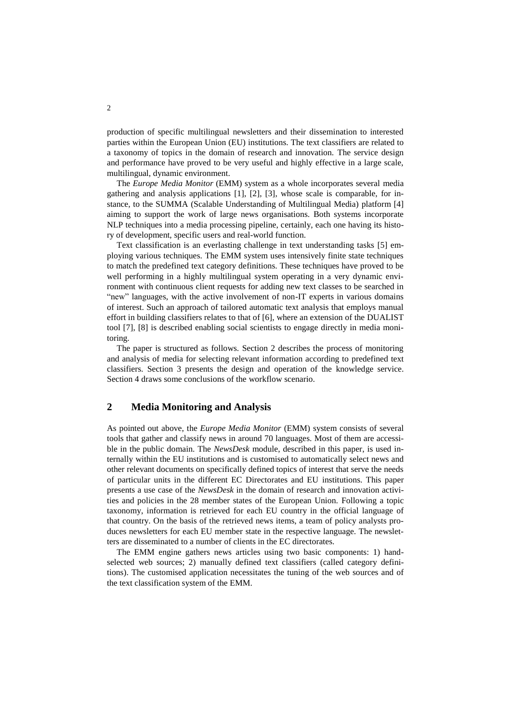production of specific multilingual newsletters and their dissemination to interested parties within the European Union (EU) institutions. The text classifiers are related to a taxonomy of topics in the domain of research and innovation. The service design and performance have proved to be very useful and highly effective in a large scale, multilingual, dynamic environment.

The *Europe Media Monitor* (EMM) system as a whole incorporates several media gathering and analysis applications [1], [2], [3], whose scale is comparable, for instance, to the SUMMA (Scalable Understanding of Multilingual Media) platform [4] aiming to support the work of large news organisations. Both systems incorporate NLP techniques into a media processing pipeline, certainly, each one having its history of development, specific users and real-world function.

Text classification is an everlasting challenge in text understanding tasks [5] employing various techniques. The EMM system uses intensively finite state techniques to match the predefined text category definitions. These techniques have proved to be well performing in a highly multilingual system operating in a very dynamic environment with continuous client requests for adding new text classes to be searched in "new" languages, with the active involvement of non-IT experts in various domains of interest. Such an approach of tailored automatic text analysis that employs manual effort in building classifiers relates to that of [6], where an extension of the DUALIST tool [7], [8] is described enabling social scientists to engage directly in media monitoring.

The paper is structured as follows. Section 2 describes the process of monitoring and analysis of media for selecting relevant information according to predefined text classifiers. Section 3 presents the design and operation of the knowledge service. Section 4 draws some conclusions of the workflow scenario.

## **2 Media Monitoring and Analysis**

As pointed out above, the *Europe Media Monitor* (EMM) system consists of several tools that gather and classify news in around 70 languages. Most of them are accessible in the public domain. The *NewsDesk* module, described in this paper, is used internally within the EU institutions and is customised to automatically select news and other relevant documents on specifically defined topics of interest that serve the needs of particular units in the different EC Directorates and EU institutions. This paper presents a use case of the *NewsDesk* in the domain of research and innovation activities and policies in the 28 member states of the European Union. Following a topic taxonomy, information is retrieved for each EU country in the official language of that country. On the basis of the retrieved news items, a team of policy analysts produces newsletters for each EU member state in the respective language. The newsletters are disseminated to a number of clients in the EC directorates.

The EMM engine gathers news articles using two basic components: 1) handselected web sources; 2) manually defined text classifiers (called category definitions). The customised application necessitates the tuning of the web sources and of the text classification system of the EMM.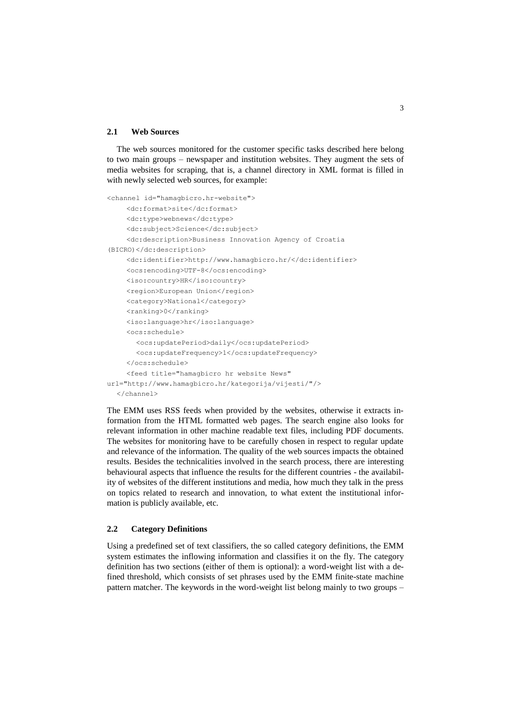#### **2.1 Web Sources**

The web sources monitored for the customer specific tasks described here belong to two main groups – newspaper and institution websites. They augment the sets of media websites for scraping, that is, a channel directory in XML format is filled in with newly selected web sources, for example:

```
<channel id="hamagbicro.hr-website">
    <dc:format>site</dc:format>
    <dc:type>webnews</dc:type>
    <dc:subject>Science</dc:subject>
    <dc:description>Business Innovation Agency of Croatia 
(BICRO)</dc:description>
    <dc:identifier>http://www.hamagbicro.hr/</dc:identifier>
    <ocs:encoding>UTF-8</ocs:encoding>
    <iso:country>HR</iso:country>
    <region>European Union</region>
    <category>National</category>
    <ranking>0</ranking>
    <iso:language>hr</iso:language>
    <ocs:schedule>
       <ocs:updatePeriod>daily</ocs:updatePeriod>
       <ocs:updateFrequency>1</ocs:updateFrequency>
    </ocs:schedule>
    <feed title="hamagbicro hr website News" 
url="http://www.hamagbicro.hr/kategorija/vijesti/"/>
  </channel>
```
The EMM uses RSS feeds when provided by the websites, otherwise it extracts information from the HTML formatted web pages. The search engine also looks for relevant information in other machine readable text files, including PDF documents. The websites for monitoring have to be carefully chosen in respect to regular update and relevance of the information. The quality of the web sources impacts the obtained results. Besides the technicalities involved in the search process, there are interesting behavioural aspects that influence the results for the different countries - the availability of websites of the different institutions and media, how much they talk in the press on topics related to research and innovation, to what extent the institutional information is publicly available, etc.

#### **2.2 Category Definitions**

Using a predefined set of text classifiers, the so called category definitions, the EMM system estimates the inflowing information and classifies it on the fly. The category definition has two sections (either of them is optional): a word-weight list with a defined threshold, which consists of set phrases used by the EMM finite-state machine pattern matcher. The keywords in the word-weight list belong mainly to two groups –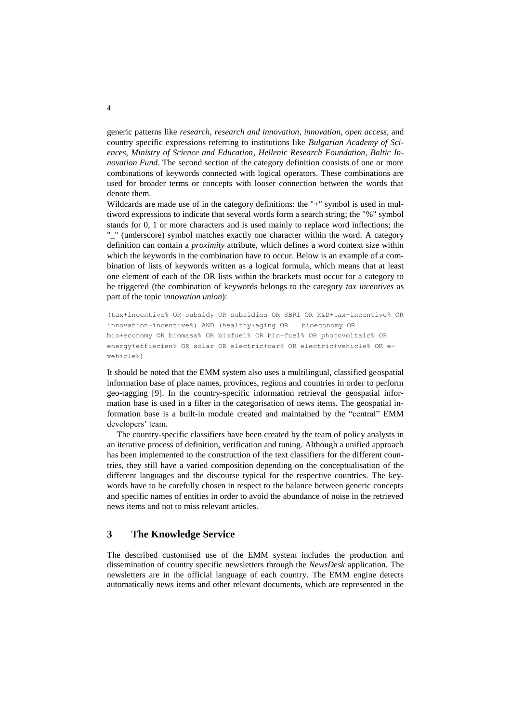generic patterns like *research*, *research and innovation*, *innovation*, *open access*, and country specific expressions referring to institutions like *Bulgarian Academy of Sciences*, *Ministry of Science and Education*, *Hellenic Research Foundation, Baltic Innovation Fund*. The second section of the category definition consists of one or more combinations of keywords connected with logical operators. These combinations are used for broader terms or concepts with looser connection between the words that denote them.

Wildcards are made use of in the category definitions: the "+" symbol is used in multiword expressions to indicate that several words form a search string; the "%" symbol stands for 0, 1 or more characters and is used mainly to replace word inflections; the "\_" (underscore) symbol matches exactly one character within the word. A category definition can contain a *proximity* attribute, which defines a word context size within which the keywords in the combination have to occur. Below is an example of a combination of lists of keywords written as a logical formula, which means that at least one element of each of the OR lists within the brackets must occur for a category to be triggered (the combination of keywords belongs to the category *tax incentives* as part of the topic i*nnovation union*):

(tax+incentive% OR subsidy OR subsidies OR SBRI OR R&D+tax+incentive% OR innovation+incentive%) AND (healthy+aging OR bioeconomy OR bio+economy OR biomass% OR biofuel% OR bio+fuel% OR photovoltaic% OR energy+effiecien% OR solar OR electric+car% OR electric+vehicle% OR evehicle%)

It should be noted that the EMM system also uses a multilingual, classified geospatial information base of place names, provinces, regions and countries in order to perform geo-tagging [9]. In the country-specific information retrieval the geospatial information base is used in a filter in the categorisation of news items. The geospatial information base is a built-in module created and maintained by the "central" EMM developers' team.

The country-specific classifiers have been created by the team of policy analysts in an iterative process of definition, verification and tuning. Although a unified approach has been implemented to the construction of the text classifiers for the different countries, they still have a varied composition depending on the conceptualisation of the different languages and the discourse typical for the respective countries. The keywords have to be carefully chosen in respect to the balance between generic concepts and specific names of entities in order to avoid the abundance of noise in the retrieved news items and not to miss relevant articles.

# **3 The Knowledge Service**

The described customised use of the EMM system includes the production and dissemination of country specific newsletters through the *NewsDesk* application. The newsletters are in the official language of each country. The EMM engine detects automatically news items and other relevant documents, which are represented in the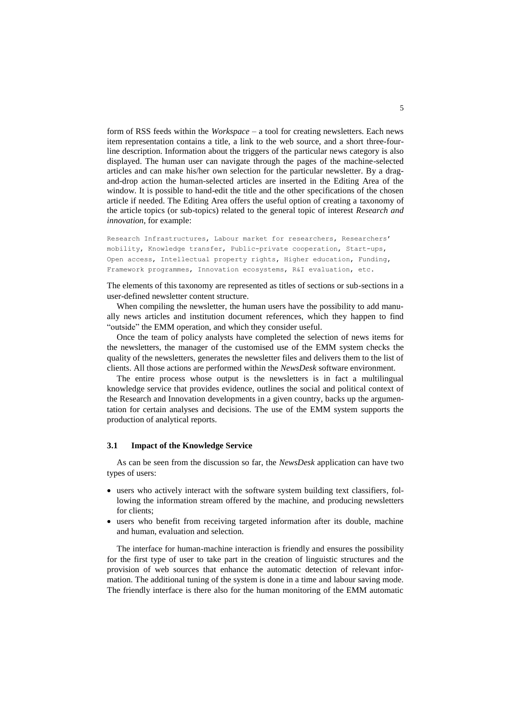form of RSS feeds within the *Workspace* – a tool for creating newsletters. Each news item representation contains a title, a link to the web source, and a short three-fourline description. Information about the triggers of the particular news category is also displayed. The human user can navigate through the pages of the machine-selected articles and can make his/her own selection for the particular newsletter. By a dragand-drop action the human-selected articles are inserted in the Editing Area of the window. It is possible to hand-edit the title and the other specifications of the chosen article if needed. The Editing Area offers the useful option of creating a taxonomy of the article topics (or sub-topics) related to the general topic of interest *Research and innovation*, for example:

Research Infrastructures, Labour market for researchers, Researchers' mobility, Knowledge transfer, Public-private cooperation, Start-ups, Open access, Intellectual property rights, Higher education, Funding, Framework programmes, Innovation ecosystems, R&I evaluation, etc.

The elements of this taxonomy are represented as titles of sections or sub-sections in a user-defined newsletter content structure.

When compiling the newsletter, the human users have the possibility to add manually news articles and institution document references, which they happen to find "outside" the EMM operation, and which they consider useful.

Once the team of policy analysts have completed the selection of news items for the newsletters, the manager of the customised use of the EMM system checks the quality of the newsletters, generates the newsletter files and delivers them to the list of clients. All those actions are performed within the *NewsDesk* software environment.

The entire process whose output is the newsletters is in fact a multilingual knowledge service that provides evidence, outlines the social and political context of the Research and Innovation developments in a given country, backs up the argumentation for certain analyses and decisions. The use of the EMM system supports the production of analytical reports.

### **3.1 Impact of the Knowledge Service**

As can be seen from the discussion so far, the *NewsDesk* application can have two types of users:

- users who actively interact with the software system building text classifiers, following the information stream offered by the machine, and producing newsletters for clients;
- users who benefit from receiving targeted information after its double, machine and human, evaluation and selection.

The interface for human-machine interaction is friendly and ensures the possibility for the first type of user to take part in the creation of linguistic structures and the provision of web sources that enhance the automatic detection of relevant information. The additional tuning of the system is done in a time and labour saving mode. The friendly interface is there also for the human monitoring of the EMM automatic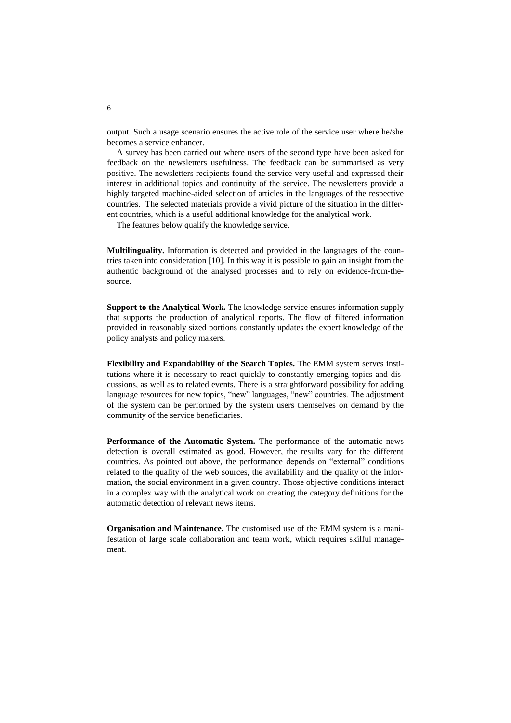output. Such a usage scenario ensures the active role of the service user where he/she becomes a service enhancer.

A survey has been carried out where users of the second type have been asked for feedback on the newsletters usefulness. The feedback can be summarised as very positive. The newsletters recipients found the service very useful and expressed their interest in additional topics and continuity of the service. The newsletters provide a highly targeted machine-aided selection of articles in the languages of the respective countries. The selected materials provide a vivid picture of the situation in the different countries, which is a useful additional knowledge for the analytical work.

The features below qualify the knowledge service.

**Multilinguality.** Information is detected and provided in the languages of the countries taken into consideration [10]. In this way it is possible to gain an insight from the authentic background of the analysed processes and to rely on evidence-from-thesource.

**Support to the Analytical Work.** The knowledge service ensures information supply that supports the production of analytical reports. The flow of filtered information provided in reasonably sized portions constantly updates the expert knowledge of the policy analysts and policy makers.

**Flexibility and Expandability of the Search Topics.** The EMM system serves institutions where it is necessary to react quickly to constantly emerging topics and discussions, as well as to related events. There is a straightforward possibility for adding language resources for new topics, "new" languages, "new" countries. The adjustment of the system can be performed by the system users themselves on demand by the community of the service beneficiaries.

**Performance of the Automatic System.** The performance of the automatic news detection is overall estimated as good. However, the results vary for the different countries. As pointed out above, the performance depends on "external" conditions related to the quality of the web sources, the availability and the quality of the information, the social environment in a given country. Those objective conditions interact in a complex way with the analytical work on creating the category definitions for the automatic detection of relevant news items.

**Organisation and Maintenance.** The customised use of the EMM system is a manifestation of large scale collaboration and team work, which requires skilful management.

6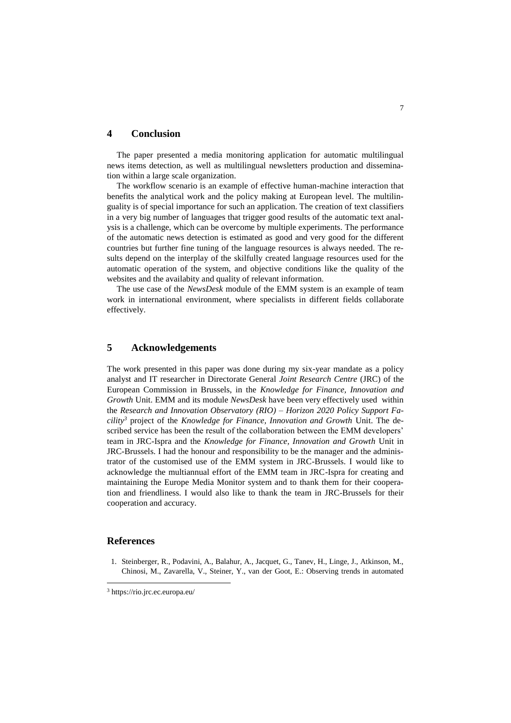### **4 Conclusion**

The paper presented a media monitoring application for automatic multilingual news items detection, as well as multilingual newsletters production and dissemination within a large scale organization.

The workflow scenario is an example of effective human-machine interaction that benefits the analytical work and the policy making at European level. The multilinguality is of special importance for such an application. The creation of text classifiers in a very big number of languages that trigger good results of the automatic text analysis is a challenge, which can be overcome by multiple experiments. The performance of the automatic news detection is estimated as good and very good for the different countries but further fine tuning of the language resources is always needed. The results depend on the interplay of the skilfully created language resources used for the automatic operation of the system, and objective conditions like the quality of the websites and the availabity and quality of relevant information.

The use case of the *NewsDesk* module of the EMM system is an example of team work in international environment, where specialists in different fields collaborate effectively.

## **5 Acknowledgements**

The work presented in this paper was done during my six-year mandate as a policy analyst and IT researcher in Directorate General *Joint Research Centre* (JRC) of the European Commission in Brussels, in the *Knowledge for Finance, Innovation and Growth* Unit. EMM and its module *NewsDesk* have been very effectively used within the *Research and Innovation Observatory (RIO) – Horizon 2020 Policy Support Facility<sup>3</sup>* project of the *Knowledge for Finance, Innovation and Growth* Unit. The described service has been the result of the collaboration between the EMM developers' team in JRC-Ispra and the *Knowledge for Finance, Innovation and Growth* Unit in JRC-Brussels. I had the honour and responsibility to be the manager and the administrator of the customised use of the EMM system in JRC-Brussels. I would like to acknowledge the multiannual effort of the EMM team in JRC-Ispra for creating and maintaining the Europe Media Monitor system and to thank them for their cooperation and friendliness. I would also like to thank the team in JRC-Brussels for their cooperation and accuracy.

# **References**

 $\overline{\phantom{a}}$ 

1. Steinberger, R., Podavini, A., Balahur, A., Jacquet, G., Tanev, H., Linge, J., Atkinson, M., Chinosi, M., Zavarella, V., Steiner, Y., van der Goot, E.: Observing trends in automated

<sup>3</sup> https://rio.jrc.ec.europa.eu/